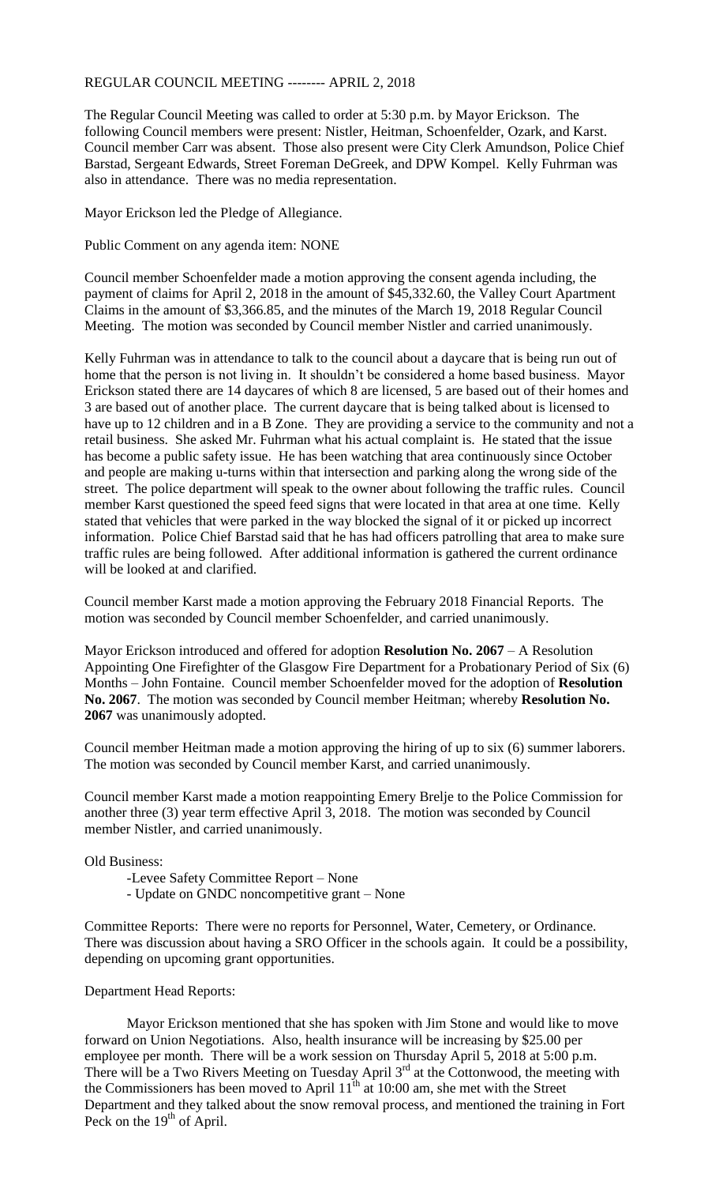## REGULAR COUNCIL MEETING -------- APRIL 2, 2018

The Regular Council Meeting was called to order at 5:30 p.m. by Mayor Erickson. The following Council members were present: Nistler, Heitman, Schoenfelder, Ozark, and Karst. Council member Carr was absent. Those also present were City Clerk Amundson, Police Chief Barstad, Sergeant Edwards, Street Foreman DeGreek, and DPW Kompel. Kelly Fuhrman was also in attendance. There was no media representation.

Mayor Erickson led the Pledge of Allegiance.

Public Comment on any agenda item: NONE

Council member Schoenfelder made a motion approving the consent agenda including, the payment of claims for April 2, 2018 in the amount of \$45,332.60, the Valley Court Apartment Claims in the amount of \$3,366.85, and the minutes of the March 19, 2018 Regular Council Meeting. The motion was seconded by Council member Nistler and carried unanimously.

Kelly Fuhrman was in attendance to talk to the council about a daycare that is being run out of home that the person is not living in. It shouldn't be considered a home based business. Mayor Erickson stated there are 14 daycares of which 8 are licensed, 5 are based out of their homes and 3 are based out of another place. The current daycare that is being talked about is licensed to have up to 12 children and in a B Zone. They are providing a service to the community and not a retail business. She asked Mr. Fuhrman what his actual complaint is. He stated that the issue has become a public safety issue. He has been watching that area continuously since October and people are making u-turns within that intersection and parking along the wrong side of the street. The police department will speak to the owner about following the traffic rules. Council member Karst questioned the speed feed signs that were located in that area at one time. Kelly stated that vehicles that were parked in the way blocked the signal of it or picked up incorrect information. Police Chief Barstad said that he has had officers patrolling that area to make sure traffic rules are being followed. After additional information is gathered the current ordinance will be looked at and clarified.

Council member Karst made a motion approving the February 2018 Financial Reports. The motion was seconded by Council member Schoenfelder, and carried unanimously.

Mayor Erickson introduced and offered for adoption **Resolution No. 2067** – A Resolution Appointing One Firefighter of the Glasgow Fire Department for a Probationary Period of Six (6) Months – John Fontaine. Council member Schoenfelder moved for the adoption of **Resolution No. 2067**. The motion was seconded by Council member Heitman; whereby **Resolution No. 2067** was unanimously adopted.

Council member Heitman made a motion approving the hiring of up to six (6) summer laborers. The motion was seconded by Council member Karst, and carried unanimously.

Council member Karst made a motion reappointing Emery Brelje to the Police Commission for another three (3) year term effective April 3, 2018. The motion was seconded by Council member Nistler, and carried unanimously.

## Old Business:

- -Levee Safety Committee Report None
- Update on GNDC noncompetitive grant None

Committee Reports: There were no reports for Personnel, Water, Cemetery, or Ordinance. There was discussion about having a SRO Officer in the schools again. It could be a possibility, depending on upcoming grant opportunities.

Department Head Reports:

Mayor Erickson mentioned that she has spoken with Jim Stone and would like to move forward on Union Negotiations. Also, health insurance will be increasing by \$25.00 per employee per month. There will be a work session on Thursday April 5, 2018 at 5:00 p.m. There will be a Two Rivers Meeting on Tuesday April  $3<sup>rd</sup>$  at the Cottonwood, the meeting with the Commissioners has been moved to April  $11^{th}$  at 10:00 am, she met with the Street Department and they talked about the snow removal process, and mentioned the training in Fort Peck on the  $19<sup>th</sup>$  of April.